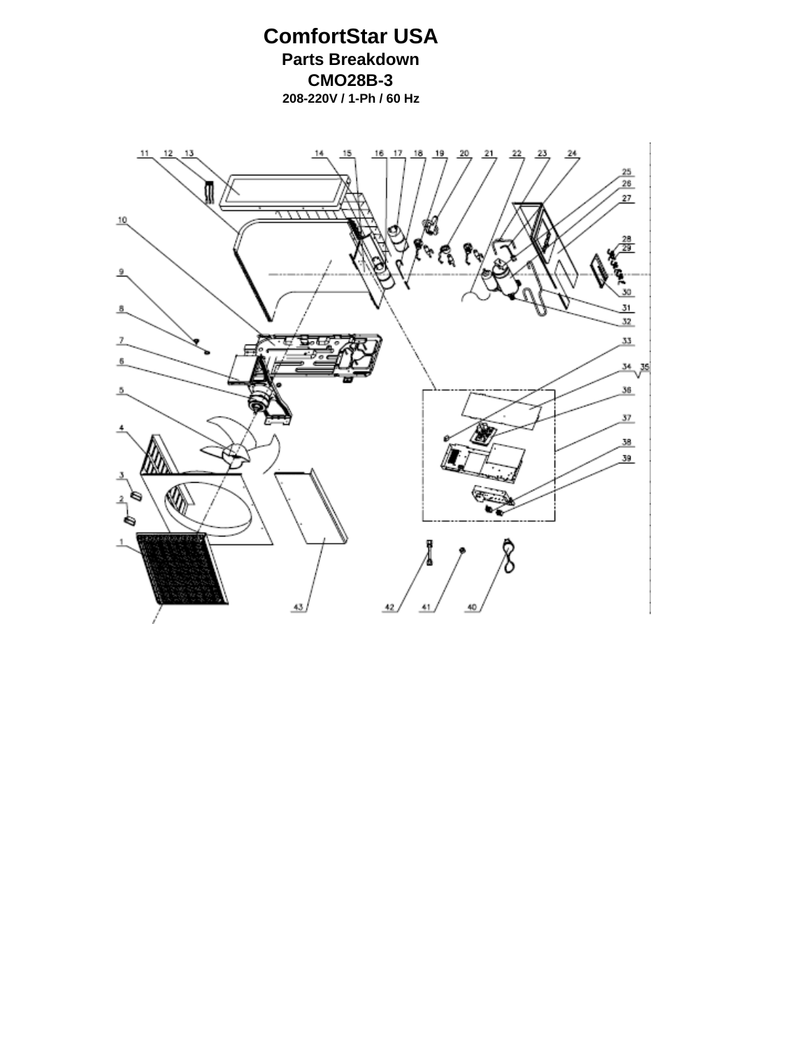